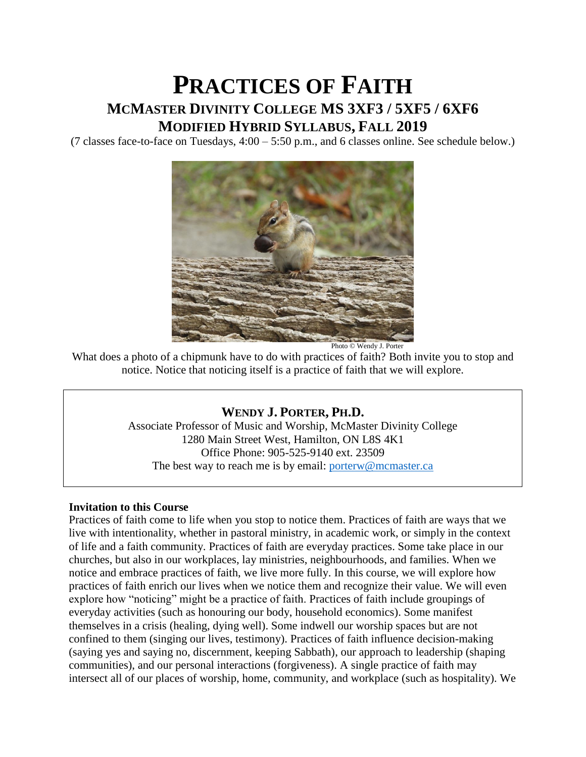# **PRACTICES OF FAITH MCMASTER DIVINITY COLLEGE MS 3XF3 / 5XF5 / 6XF6 MODIFIED HYBRID SYLLABUS, FALL 2019**

(7 classes face-to-face on Tuesdays, 4:00 – 5:50 p.m., and 6 classes online. See schedule below.)



Photo © Wendy J. Porter

What does a photo of a chipmunk have to do with practices of faith? Both invite you to stop and notice. Notice that noticing itself is a practice of faith that we will explore.

# **WENDY J. PORTER, PH.D.**

Associate Professor of Music and Worship, McMaster Divinity College 1280 Main Street West, Hamilton, ON L8S 4K1 Office Phone: 905-525-9140 ext. 23509 The best way to reach me is by email: [porterw@mcmaster.ca](mailto:porterw@mcmaster.ca)

# **Invitation to this Course**

Practices of faith come to life when you stop to notice them. Practices of faith are ways that we live with intentionality, whether in pastoral ministry, in academic work, or simply in the context of life and a faith community. Practices of faith are everyday practices. Some take place in our churches, but also in our workplaces, lay ministries, neighbourhoods, and families. When we notice and embrace practices of faith, we live more fully. In this course, we will explore how practices of faith enrich our lives when we notice them and recognize their value. We will even explore how "noticing" might be a practice of faith. Practices of faith include groupings of everyday activities (such as honouring our body, household economics). Some manifest themselves in a crisis (healing, dying well). Some indwell our worship spaces but are not confined to them (singing our lives, testimony). Practices of faith influence decision-making (saying yes and saying no, discernment, keeping Sabbath), our approach to leadership (shaping communities), and our personal interactions (forgiveness). A single practice of faith may intersect all of our places of worship, home, community, and workplace (such as hospitality). We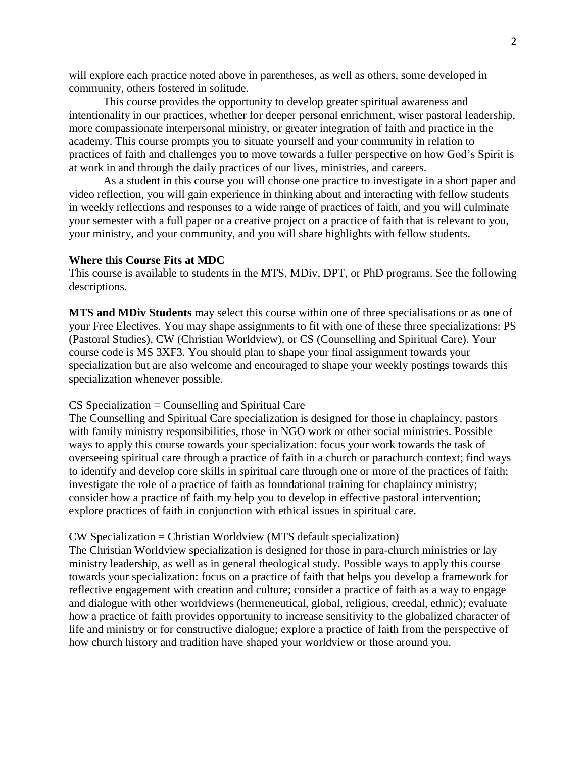will explore each practice noted above in parentheses, as well as others, some developed in community, others fostered in solitude.

This course provides the opportunity to develop greater spiritual awareness and intentionality in our practices, whether for deeper personal enrichment, wiser pastoral leadership, more compassionate interpersonal ministry, or greater integration of faith and practice in the academy. This course prompts you to situate yourself and your community in relation to practices of faith and challenges you to move towards a fuller perspective on how God's Spirit is at work in and through the daily practices of our lives, ministries, and careers.

As a student in this course you will choose one practice to investigate in a short paper and video reflection, you will gain experience in thinking about and interacting with fellow students in weekly reflections and responses to a wide range of practices of faith, and you will culminate your semester with a full paper or a creative project on a practice of faith that is relevant to you, your ministry, and your community, and you will share highlights with fellow students.

#### **Where this Course Fits at MDC**

This course is available to students in the MTS, MDiv, DPT, or PhD programs. See the following descriptions.

**MTS and MDiv Students** may select this course within one of three specialisations or as one of your Free Electives. You may shape assignments to fit with one of these three specializations: PS (Pastoral Studies), CW (Christian Worldview), or CS (Counselling and Spiritual Care). Your course code is MS 3XF3. You should plan to shape your final assignment towards your specialization but are also welcome and encouraged to shape your weekly postings towards this specialization whenever possible.

#### CS Specialization = Counselling and Spiritual Care

The Counselling and Spiritual Care specialization is designed for those in chaplaincy, pastors with family ministry responsibilities, those in NGO work or other social ministries. Possible ways to apply this course towards your specialization: focus your work towards the task of overseeing spiritual care through a practice of faith in a church or parachurch context; find ways to identify and develop core skills in spiritual care through one or more of the practices of faith; investigate the role of a practice of faith as foundational training for chaplaincy ministry; consider how a practice of faith my help you to develop in effective pastoral intervention; explore practices of faith in conjunction with ethical issues in spiritual care.

#### CW Specialization = Christian Worldview (MTS default specialization)

The Christian Worldview specialization is designed for those in para-church ministries or lay ministry leadership, as well as in general theological study. Possible ways to apply this course towards your specialization: focus on a practice of faith that helps you develop a framework for reflective engagement with creation and culture; consider a practice of faith as a way to engage and dialogue with other worldviews (hermeneutical, global, religious, creedal, ethnic); evaluate how a practice of faith provides opportunity to increase sensitivity to the globalized character of life and ministry or for constructive dialogue; explore a practice of faith from the perspective of how church history and tradition have shaped your worldview or those around you.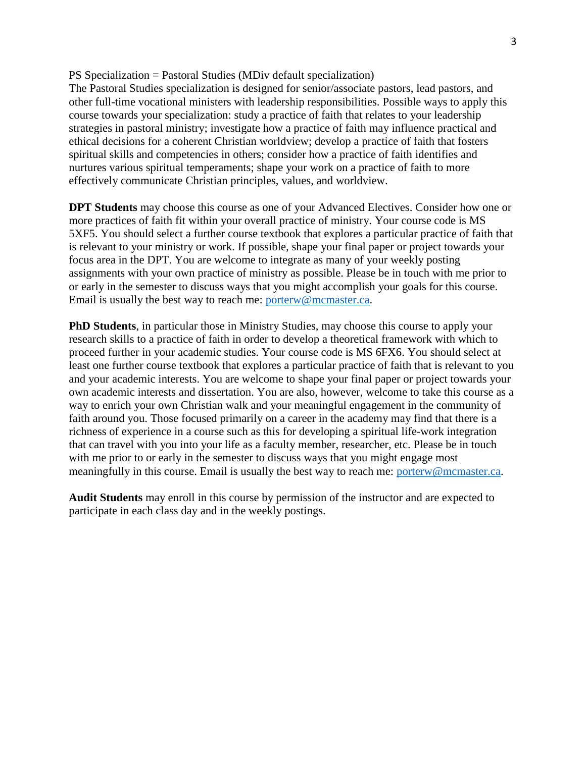PS Specialization = Pastoral Studies (MDiv default specialization)

The Pastoral Studies specialization is designed for senior/associate pastors, lead pastors, and other full-time vocational ministers with leadership responsibilities. Possible ways to apply this course towards your specialization: study a practice of faith that relates to your leadership strategies in pastoral ministry; investigate how a practice of faith may influence practical and ethical decisions for a coherent Christian worldview; develop a practice of faith that fosters spiritual skills and competencies in others; consider how a practice of faith identifies and nurtures various spiritual temperaments; shape your work on a practice of faith to more effectively communicate Christian principles, values, and worldview.

**DPT Students** may choose this course as one of your Advanced Electives. Consider how one or more practices of faith fit within your overall practice of ministry. Your course code is MS 5XF5. You should select a further course textbook that explores a particular practice of faith that is relevant to your ministry or work. If possible, shape your final paper or project towards your focus area in the DPT. You are welcome to integrate as many of your weekly posting assignments with your own practice of ministry as possible. Please be in touch with me prior to or early in the semester to discuss ways that you might accomplish your goals for this course. Email is usually the best way to reach me: [porterw@mcmaster.ca.](mailto:porterw@mcmaster.ca)

**PhD Students**, in particular those in Ministry Studies, may choose this course to apply your research skills to a practice of faith in order to develop a theoretical framework with which to proceed further in your academic studies. Your course code is MS 6FX6. You should select at least one further course textbook that explores a particular practice of faith that is relevant to you and your academic interests. You are welcome to shape your final paper or project towards your own academic interests and dissertation. You are also, however, welcome to take this course as a way to enrich your own Christian walk and your meaningful engagement in the community of faith around you. Those focused primarily on a career in the academy may find that there is a richness of experience in a course such as this for developing a spiritual life-work integration that can travel with you into your life as a faculty member, researcher, etc. Please be in touch with me prior to or early in the semester to discuss ways that you might engage most meaningfully in this course. Email is usually the best way to reach me: [porterw@mcmaster.ca.](mailto:porterw@mcmaster.ca)

**Audit Students** may enroll in this course by permission of the instructor and are expected to participate in each class day and in the weekly postings.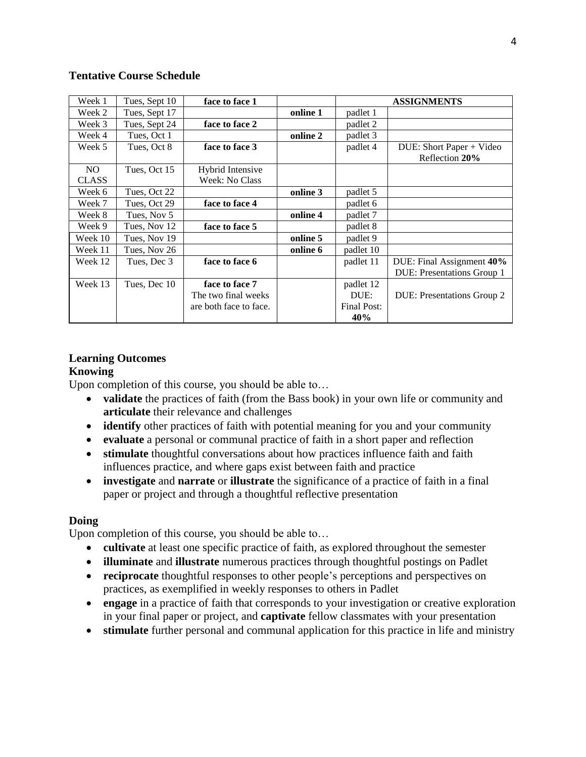| Week 1       | Tues, Sept 10 | face to face 1          |          |             | <b>ASSIGNMENTS</b>                |
|--------------|---------------|-------------------------|----------|-------------|-----------------------------------|
| Week 2       | Tues, Sept 17 |                         | online 1 | padlet 1    |                                   |
| Week 3       | Tues, Sept 24 | face to face 2          |          | padlet 2    |                                   |
| Week 4       | Tues, Oct 1   |                         | online 2 | padlet 3    |                                   |
| Week 5       | Tues, Oct 8   | face to face 3          |          | padlet 4    | DUE: Short Paper + Video          |
|              |               |                         |          |             | Reflection 20%                    |
| NO.          | Tues, Oct 15  | <b>Hybrid Intensive</b> |          |             |                                   |
| <b>CLASS</b> |               | Week: No Class          |          |             |                                   |
| Week 6       | Tues, Oct 22  |                         | online 3 | padlet 5    |                                   |
| Week 7       | Tues, Oct 29  | face to face 4          |          | padlet 6    |                                   |
| Week 8       | Tues, Nov 5   |                         | online 4 | padlet 7    |                                   |
| Week 9       | Tues, Nov 12  | face to face 5          |          | padlet 8    |                                   |
| Week 10      | Tues, Nov 19  |                         | online 5 | padlet 9    |                                   |
| Week 11      | Tues, Nov 26  |                         | online 6 | padlet 10   |                                   |
| Week 12      | Tues, Dec 3   | face to face 6          |          | padlet 11   | DUE: Final Assignment 40%         |
|              |               |                         |          |             | <b>DUE:</b> Presentations Group 1 |
| Week 13      | Tues, Dec 10  | face to face 7          |          | padlet 12   |                                   |
|              |               | The two final weeks     |          | DUE:        | DUE: Presentations Group 2        |
|              |               | are both face to face.  |          | Final Post: |                                   |
|              |               |                         |          | 40%         |                                   |

# **Tentative Course Schedule**

# **Learning Outcomes**

# **Knowing**

Upon completion of this course, you should be able to…

- **validate** the practices of faith (from the Bass book) in your own life or community and **articulate** their relevance and challenges
- **identify** other practices of faith with potential meaning for you and your community
- **evaluate** a personal or communal practice of faith in a short paper and reflection
- **stimulate** thoughtful conversations about how practices influence faith and faith influences practice, and where gaps exist between faith and practice
- **investigate** and **narrate** or **illustrate** the significance of a practice of faith in a final paper or project and through a thoughtful reflective presentation

# **Doing**

Upon completion of this course, you should be able to…

- **cultivate** at least one specific practice of faith, as explored throughout the semester
- **illuminate** and **illustrate** numerous practices through thoughtful postings on Padlet
- **reciprocate** thoughtful responses to other people's perceptions and perspectives on practices, as exemplified in weekly responses to others in Padlet
- **engage** in a practice of faith that corresponds to your investigation or creative exploration in your final paper or project, and **captivate** fellow classmates with your presentation
- **stimulate** further personal and communal application for this practice in life and ministry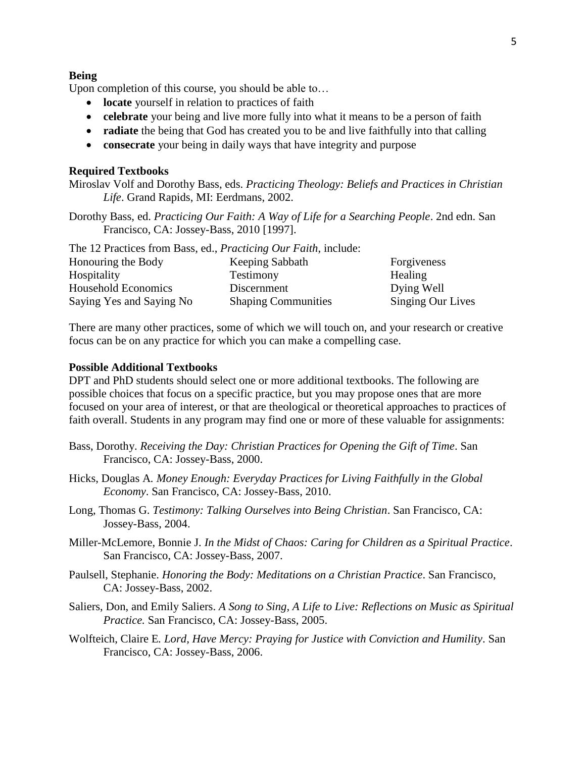#### **Being**

Upon completion of this course, you should be able to…

- **locate** yourself in relation to practices of faith
- **celebrate** your being and live more fully into what it means to be a person of faith
- **radiate** the being that God has created you to be and live faithfully into that calling
- **consecrate** your being in daily ways that have integrity and purpose

# **Required Textbooks**

Miroslav Volf and Dorothy Bass, eds. *Practicing Theology: Beliefs and Practices in Christian Life*. Grand Rapids, MI: Eerdmans, 2002.

Dorothy Bass, ed. *Practicing Our Faith: A Way of Life for a Searching People*. 2nd edn. San Francisco, CA: Jossey-Bass, 2010 [1997].

The 12 Practices from Bass, ed., *Practicing Our Faith*, include:

| Honouring the Body       | Keeping Sabbath            | Forgiveness       |
|--------------------------|----------------------------|-------------------|
| Hospitality              | Testimony                  | Healing           |
| Household Economics      | Discernment                | Dying Well        |
| Saying Yes and Saying No | <b>Shaping Communities</b> | Singing Our Lives |

There are many other practices, some of which we will touch on, and your research or creative focus can be on any practice for which you can make a compelling case.

### **Possible Additional Textbooks**

DPT and PhD students should select one or more additional textbooks. The following are possible choices that focus on a specific practice, but you may propose ones that are more focused on your area of interest, or that are theological or theoretical approaches to practices of faith overall. Students in any program may find one or more of these valuable for assignments:

- Bass, Dorothy. *Receiving the Day: Christian Practices for Opening the Gift of Time*. San Francisco, CA: Jossey-Bass, 2000.
- Hicks, Douglas A*. Money Enough: Everyday Practices for Living Faithfully in the Global Economy*. San Francisco, CA: Jossey-Bass, 2010.
- Long, Thomas G. *Testimony: Talking Ourselves into Being Christian*. San Francisco, CA: Jossey-Bass, 2004.
- Miller-McLemore, Bonnie J*. In the Midst of Chaos: Caring for Children as a Spiritual Practice*. San Francisco, CA: Jossey-Bass, 2007.
- Paulsell, Stephanie. *Honoring the Body: Meditations on a Christian Practice*. San Francisco, CA: Jossey-Bass, 2002.
- Saliers, Don, and Emily Saliers. *A Song to Sing, A Life to Live: Reflections on Music as Spiritual Practice.* San Francisco, CA: Jossey-Bass, 2005.
- Wolfteich, Claire E*. Lord, Have Mercy: Praying for Justice with Conviction and Humility*. San Francisco, CA: Jossey-Bass, 2006.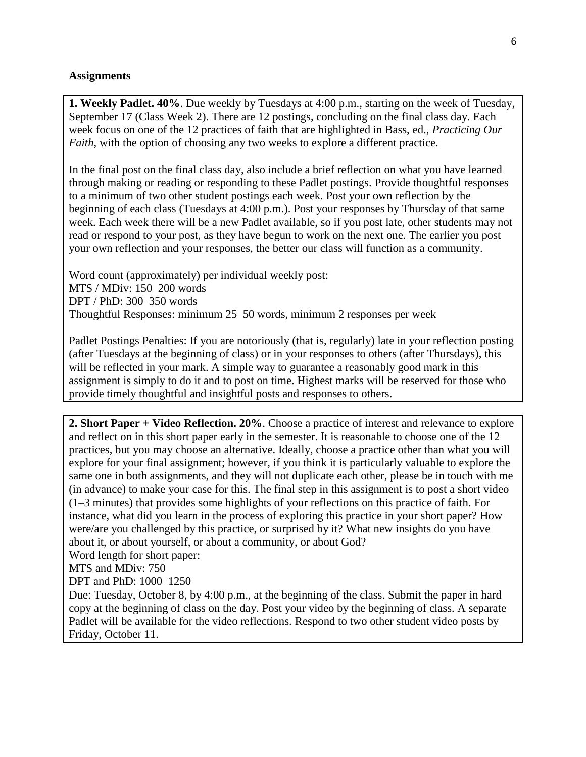## **Assignments**

**1. Weekly Padlet. 40%**. Due weekly by Tuesdays at 4:00 p.m., starting on the week of Tuesday, September 17 (Class Week 2). There are 12 postings, concluding on the final class day. Each week focus on one of the 12 practices of faith that are highlighted in Bass, ed., *Practicing Our Faith*, with the option of choosing any two weeks to explore a different practice.

In the final post on the final class day, also include a brief reflection on what you have learned through making or reading or responding to these Padlet postings. Provide thoughtful responses to a minimum of two other student postings each week. Post your own reflection by the beginning of each class (Tuesdays at 4:00 p.m.). Post your responses by Thursday of that same week. Each week there will be a new Padlet available, so if you post late, other students may not read or respond to your post, as they have begun to work on the next one. The earlier you post your own reflection and your responses, the better our class will function as a community.

Word count (approximately) per individual weekly post: MTS / MDiv: 150–200 words DPT / PhD: 300–350 words Thoughtful Responses: minimum 25–50 words, minimum 2 responses per week

Padlet Postings Penalties: If you are notoriously (that is, regularly) late in your reflection posting (after Tuesdays at the beginning of class) or in your responses to others (after Thursdays), this will be reflected in your mark. A simple way to guarantee a reasonably good mark in this assignment is simply to do it and to post on time. Highest marks will be reserved for those who provide timely thoughtful and insightful posts and responses to others.

**2. Short Paper + Video Reflection. 20%**. Choose a practice of interest and relevance to explore and reflect on in this short paper early in the semester. It is reasonable to choose one of the 12 practices, but you may choose an alternative. Ideally, choose a practice other than what you will explore for your final assignment; however, if you think it is particularly valuable to explore the same one in both assignments, and they will not duplicate each other, please be in touch with me (in advance) to make your case for this. The final step in this assignment is to post a short video (1–3 minutes) that provides some highlights of your reflections on this practice of faith. For instance, what did you learn in the process of exploring this practice in your short paper? How were/are you challenged by this practice, or surprised by it? What new insights do you have about it, or about yourself, or about a community, or about God?

Word length for short paper:

MTS and MDiv: 750

DPT and PhD: 1000–1250

Due: Tuesday, October 8, by 4:00 p.m., at the beginning of the class. Submit the paper in hard copy at the beginning of class on the day. Post your video by the beginning of class. A separate Padlet will be available for the video reflections. Respond to two other student video posts by Friday, October 11.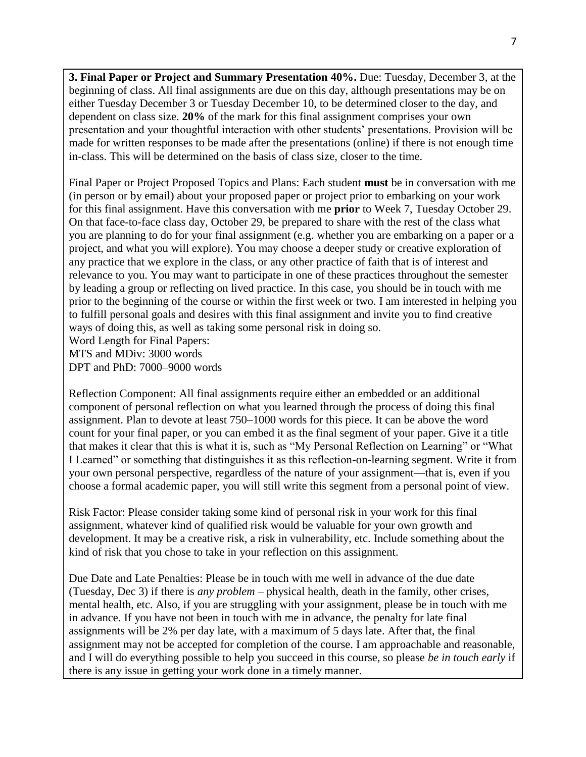**3. Final Paper or Project and Summary Presentation 40%.** Due: Tuesday, December 3, at the beginning of class. All final assignments are due on this day, although presentations may be on either Tuesday December 3 or Tuesday December 10, to be determined closer to the day, and dependent on class size. **20%** of the mark for this final assignment comprises your own presentation and your thoughtful interaction with other students' presentations. Provision will be made for written responses to be made after the presentations (online) if there is not enough time in-class. This will be determined on the basis of class size, closer to the time.

Final Paper or Project Proposed Topics and Plans: Each student **must** be in conversation with me (in person or by email) about your proposed paper or project prior to embarking on your work for this final assignment. Have this conversation with me **prior** to Week 7, Tuesday October 29. On that face-to-face class day, October 29, be prepared to share with the rest of the class what you are planning to do for your final assignment (e.g. whether you are embarking on a paper or a project, and what you will explore). You may choose a deeper study or creative exploration of any practice that we explore in the class, or any other practice of faith that is of interest and relevance to you. You may want to participate in one of these practices throughout the semester by leading a group or reflecting on lived practice. In this case, you should be in touch with me prior to the beginning of the course or within the first week or two. I am interested in helping you to fulfill personal goals and desires with this final assignment and invite you to find creative ways of doing this, as well as taking some personal risk in doing so.

Word Length for Final Papers: MTS and MDiv: 3000 words

DPT and PhD: 7000–9000 words

Reflection Component: All final assignments require either an embedded or an additional component of personal reflection on what you learned through the process of doing this final assignment. Plan to devote at least 750–1000 words for this piece. It can be above the word count for your final paper, or you can embed it as the final segment of your paper. Give it a title that makes it clear that this is what it is, such as "My Personal Reflection on Learning" or "What I Learned" or something that distinguishes it as this reflection-on-learning segment. Write it from your own personal perspective, regardless of the nature of your assignment—that is, even if you choose a formal academic paper, you will still write this segment from a personal point of view.

Risk Factor: Please consider taking some kind of personal risk in your work for this final assignment, whatever kind of qualified risk would be valuable for your own growth and development. It may be a creative risk, a risk in vulnerability, etc. Include something about the kind of risk that you chose to take in your reflection on this assignment.

Due Date and Late Penalties: Please be in touch with me well in advance of the due date (Tuesday, Dec 3) if there is *any problem* – physical health, death in the family, other crises, mental health, etc. Also, if you are struggling with your assignment, please be in touch with me in advance. If you have not been in touch with me in advance, the penalty for late final assignments will be 2% per day late, with a maximum of 5 days late. After that, the final assignment may not be accepted for completion of the course. I am approachable and reasonable, and I will do everything possible to help you succeed in this course, so please *be in touch early* if there is any issue in getting your work done in a timely manner.